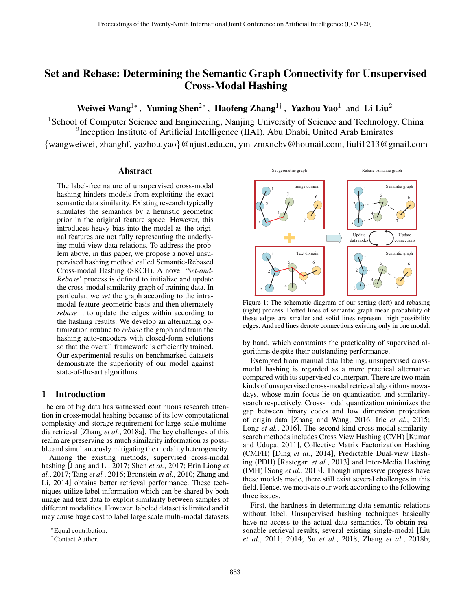# Set and Rebase: Determining the Semantic Graph Connectivity for Unsupervised Cross-Modal Hashing

Weiwei Wang<sup>1∗</sup> , Yuming Shen<sup>2∗</sup> , Haofeng Zhang<sup>1†</sup> , Yazhou Yao<sup>1</sup> and Li Liu<sup>2</sup>

<sup>1</sup>School of Computer Science and Engineering, Nanjing University of Science and Technology, China <sup>2</sup>Inception Institute of Artificial Intelligence (IIAI), Abu Dhabi, United Arab Emirates

{wangweiwei, zhanghf, yazhou.yao}@njust.edu.cn, ym zmxncbv@hotmail.com, liuli1213@gmail.com

### Abstract

The label-free nature of unsupervised cross-modal hashing hinders models from exploiting the exact semantic data similarity. Existing research typically simulates the semantics by a heuristic geometric prior in the original feature space. However, this introduces heavy bias into the model as the original features are not fully representing the underlying multi-view data relations. To address the problem above, in this paper, we propose a novel unsupervised hashing method called Semantic-Rebased Cross-modal Hashing (SRCH). A novel '*Set-and-Rebase*' process is defined to initialize and update the cross-modal similarity graph of training data. In particular, we *set* the graph according to the intramodal feature geometric basis and then alternately *rebase* it to update the edges within according to the hashing results. We develop an alternating optimization routine to *rebase* the graph and train the hashing auto-encoders with closed-form solutions so that the overall framework is efficiently trained. Our experimental results on benchmarked datasets demonstrate the superiority of our model against state-of-the-art algorithms.

# 1 Introduction

The era of big data has witnessed continuous research attention in cross-modal hashing because of its low computational complexity and storage requirement for large-scale multimedia retrieval [Zhang *et al.*, 2018a]. The key challenges of this realm are preserving as much similarity information as possible and simultaneously mitigating the modality heterogeneity.

Among the existing methods, supervised cross-modal hashing [Jiang and Li, 2017; Shen *et al.*, 2017; Erin Liong *et al.*, 2017; Tang *et al.*, 2016; Bronstein *et al.*, 2010; Zhang and Li, 2014] obtains better retrieval performance. These techniques utilize label information which can be shared by both image and text data to exploit similarity between samples of different modalities. However, labeled dataset is limited and it may cause huge cost to label large scale multi-modal datasets



Figure 1: The schematic diagram of our setting (left) and rebasing (right) process. Dotted lines of semantic graph mean probability of these edges are smaller and solid lines represent high possibility edges. And red lines denote connections existing only in one modal.

by hand, which constraints the practicality of supervised algorithms despite their outstanding performance.

Exempted from manual data labeling, unsupervised crossmodal hashing is regarded as a more practical alternative compared with its supervised counterpart. There are two main kinds of unsupervised cross-modal retrieval algorithms nowadays, whose main focus lie on quantization and similaritysearch respectively. Cross-modal quantization minimizes the gap between binary codes and low dimension projection of origin data [Zhang and Wang, 2016; Irie *et al.*, 2015; Long *et al.*, 2016]. The second kind cross-modal similaritysearch methods includes Cross View Hashing (CVH) [Kumar and Udupa, 2011], Collective Matrix Factorization Hashing (CMFH) [Ding *et al.*, 2014], Predictable Dual-view Hashing (PDH) [Rastegari *et al.*, 2013] and Inter-Media Hashing (IMH) [Song *et al.*, 2013]. Though impressive progress have these models made, there still exist several challenges in this field. Hence, we motivate our work according to the following three issues.

First, the hardness in determining data semantic relations without label. Unsupervised hashing techniques basically have no access to the actual data semantics. To obtain reasonable retrieval results, several existing single-modal [Liu *et al.*, 2011; 2014; Su *et al.*, 2018; Zhang *et al.*, 2018b;

<sup>∗</sup>Equal contribution.

<sup>†</sup>Contact Author.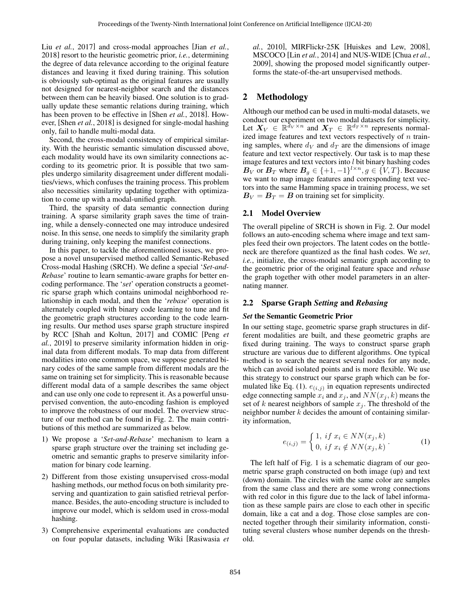Liu *et al.*, 2017] and cross-modal approaches [Jian *et al.*, 2018] resort to the heuristic geometric prior, *i.e.*, determining the degree of data relevance according to the original feature distances and leaving it fixed during training. This solution is obviously sub-optimal as the original features are usually not designed for nearest-neighbor search and the distances between them can be heavily biased. One solution is to gradually update these semantic relations during training, which has been proven to be effective in [Shen *et al.*, 2018]. However, [Shen *et al.*, 2018] is designed for single-modal hashing only, fail to handle multi-modal data.

Second, the cross-modal consistency of empirical similarity. With the heuristic semantic simulation discussed above, each modality would have its own similarity connections according to its geometric prior. It is possible that two samples undergo similarity disagreement under different modalities/views, which confuses the training process. This problem also necessities similarity updating together with optimization to come up with a modal-unified graph.

Third, the sparsity of data semantic connection during training. A sparse similarity graph saves the time of training, while a densely-connected one may introduce undesired noise. In this sense, one needs to simplify the similarity graph during training, only keeping the manifest connections.

In this paper, to tackle the aforementioned issues, we propose a novel unsupervised method called Semantic-Rebased Cross-modal Hashing (SRCH). We define a special '*Set-and-Rebase*' routine to learn semantic-aware graphs for better encoding performance. The '*set*' operation constructs a geometric sparse graph which contains unimodal neighborhood relationship in each modal, and then the '*rebase*' operation is alternately coupled with binary code learning to tune and fit the geometric graph structures according to the code learning results. Our method uses sparse graph structure inspired by RCC [Shah and Koltun, 2017] and COMIC [Peng *et al.*, 2019] to preserve similarity information hidden in original data from different modals. To map data from different modalities into one common space, we suppose generated binary codes of the same sample from different modals are the same on training set for simplicity. This is reasonable because different modal data of a sample describes the same object and can use only one code to represent it. As a powerful unsupervised convention, the auto-encoding fashion is employed to improve the robustness of our model. The overview structure of our method can be found in Fig. 2. The main contributions of this method are summarized as below.

- 1) We propose a '*Set-and-Rebase*' mechanism to learn a sparse graph structure over the training set including geometric and semantic graphs to preserve similarity information for binary code learning.
- 2) Different from those existing unsupervised cross-modal hashing methods, our method focus on both similarity preserving and quantization to gain satisfied retrieval performance. Besides, the auto-encoding structure is included to improve our model, which is seldom used in cross-modal hashing.
- 3) Comprehensive experimental evaluations are conducted on four popular datasets, including Wiki [Rasiwasia *et*

*al.*, 2010], MIRFlickr-25K [Huiskes and Lew, 2008], MSCOCO [Lin *et al.*, 2014] and NUS-WIDE [Chua *et al.*, 2009], showing the proposed model significantly outperforms the state-of-the-art unsupervised methods.

# 2 Methodology

Although our method can be used in multi-modal datasets, we conduct our experiment on two modal datasets for simplicity. Let  $X_V \in \mathbb{R}^{\tilde{d}_V \times n}$  and  $X_T \in \mathbb{R}^{d_T \times n}$  represents normalized image features and text vectors respectively of  $n$  training samples, where  $d_V$  and  $d_T$  are the dimensions of image feature and text vector respectively. Our task is to map these image features and text vectors into  $l$  bit binary hashing codes  $B_V$  or  $B_T$  where  $B_g \in \{+1, -1\}^{l \times n}, g \in \{V, T\}$ . Because we want to map image features and corresponding text vectors into the same Hamming space in training process, we set  $B_V = B_T = B$  on training set for simplicity.

### 2.1 Model Overview

The overall pipeline of SRCH is shown in Fig. 2. Our model follows an auto-encoding schema where image and text samples feed their own projectors. The latent codes on the bottleneck are therefore quantized as the final hash codes. We *set*, *i.e.*, initialize, the cross-modal semantic graph according to the geometric prior of the original feature space and *rebase* the graph together with other model parameters in an alternating manner.

### 2.2 Sparse Graph *Setting* and *Rebasing*

#### *Set* the Semantic Geometric Prior

In our setting stage, geometric sparse graph structures in different modalities are built, and these geometric graphs are fixed during training. The ways to construct sparse graph structure are various due to different algorithms. One typical method is to search the nearest several nodes for any node, which can avoid isolated points and is more flexible. We use this strategy to construct our sparse graph which can be formulated like Eq. (1).  $e_{(i,j)}$  in equation represents undirected edge connecting sample  $x_i$  and  $x_j$ , and  $NN(x_j, k)$  means the set of k nearest neighbors of sample  $x_i$ . The threshold of the neighbor number  $k$  decides the amount of containing similarity information,

$$
e_{(i,j)} = \begin{cases} 1, & if \ x_i \in NN(x_j, k) \\ 0, & if \ x_i \notin NN(x_j, k) \end{cases} . \tag{1}
$$

The left half of Fig. 1 is a schematic diagram of our geometric sparse graph constructed on both image (up) and text (down) domain. The circles with the same color are samples from the same class and there are some wrong connections with red color in this figure due to the lack of label information as these sample pairs are close to each other in specific domain, like a cat and a dog. Those close samples are connected together through their similarity information, constituting several clusters whose number depends on the threshold.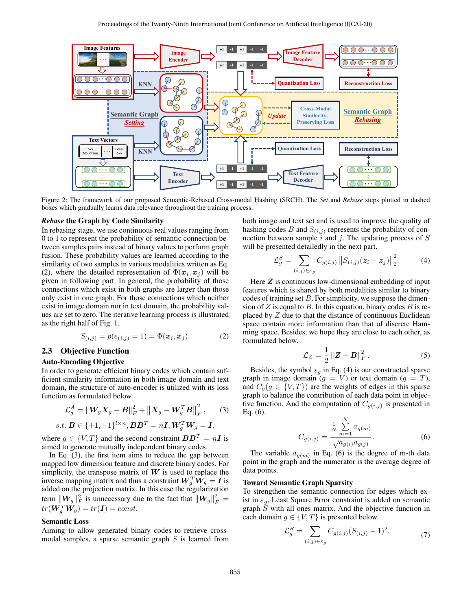

Figure 2: The framework of our proposed Semantic-Rebased Cross-modal Hashing (SRCH). The *Set* and *Rebase* steps plotted in dashed boxes which gradually learns data relevance throughout the training process.

#### *Rebase* the Graph by Code Similarity

In rebasing stage, we use continuous real values ranging from 0 to 1 to represent the probability of semantic connection between samples pairs instead of binary values to perform graph fusion. These probability values are learned according to the similarity of two samples in various modalities written as Eq. (2), where the detailed representation of  $\Phi(\mathbf{x}_i, \mathbf{x}_j)$  will be given in following part. In general, the probability of those connections which exist in both graphs are larger than those only exist in one graph. For those connections which neither exist in image domain nor in text domain, the probability values are set to zero. The iterative learning process is illustrated as the right half of Fig. 1.

$$
S_{(i,j)} = p(e_{(i,j)} = 1) = \Phi(\mathbf{x}_i, \mathbf{x}_j). \tag{2}
$$

### 2.3 Objective Function

#### Auto-Encoding Objective

In order to generate efficient binary codes which contain sufficient similarity information in both image domain and text domain, the structure of auto-encoder is utilized with its loss function as formulated below.

$$
\mathcal{L}_g^A = \|W_g X_g - B\|_F^2 + \|X_g - W_g^T B\|_F^2, \qquad (3)
$$

$$
s.t. \mathbf{B} \in \{+1, -1\}^{l \times n}, \mathbf{B} \mathbf{B}^T = n\mathbf{I}, \mathbf{W}_g^T \mathbf{W}_g = \mathbf{I},
$$

where  $g \in \{V, T\}$  and the second constraint  $BB^T = nI$  is aimed to generate mutually independent binary codes.

In Eq. (3), the first item aims to reduce the gap between mapped low dimension feature and discrete binary codes. For simplicity, the transpose matrix of  $W$  is used to replace the inverse mapping matrix and thus a constraint  $\boldsymbol{W}_{g}^{T}\hat{\boldsymbol{W}_{g}}=\boldsymbol{I}$  is added on the projection matrix. In this case the regularization term  $||W_g||_F^2$  is unnecessary due to the fact that  $||W_g||_F^2 =$  $tr(\boldsymbol{W}_g^T\boldsymbol{W}_g)=tr(\boldsymbol{I})=const.$ 

#### Semantic Loss

Aiming to allow generated binary codes to retrieve crossmodal samples, a sparse semantic graph  $S$  is learned from both image and text set and is used to improve the quality of hashing codes B and  $S_{(i,j)}$  represents the probability of connection between sample  $i$  and  $j$ . The updating process of  $S$ will be presented detailedly in the next part.

$$
\mathcal{L}_g^S = \sum_{(i,j) \in \varepsilon_g} C_{g(i,j)} ||S_{(i,j)}(z_i - z_j)||_2^2.
$$
 (4)

Here  $Z$  is continuous low-dimensional embedding of input features which is shared by both modalities similar to binary codes of training set  $B$ . For simplicity, we suppose the dimension of Z is equal to B. In this equation, binary codes B is replaced by Z due to that the distance of continuous Euclidean space contain more information than that of discrete Hamming space. Besides, we hope they are close to each other, as formulated below.

$$
\mathcal{L}_Z = \frac{1}{2} ||Z - B||_F^2.
$$
 (5)

Besides, the symbol  $\varepsilon_g$  in Eq. (4) is our constructed sparse graph in image domain  $(g = V)$  or text domain  $(g = T)$ , and  $C_g(g \in \{V, T\})$  are the weights of edges in this sparse graph to balance the contribution of each data point in objective function. And the computation of  $C_{g(i,j)}$  is presented in Eq. (6).

$$
C_{g(i,j)} = \frac{\frac{1}{N} \sum_{m=1}^{N} a_{g(m)}}{\sqrt{a_{g(i)} a_{g(j)}}}.
$$
 (6)

The variable  $a_{g(m)}$  in Eq. (6) is the degree of m-th data point in the graph and the numerator is the average degree of data points.

#### Toward Semantic Graph Sparsity

To strengthen the semantic connection for edges which exist in  $\varepsilon_q$ , Least Square Error constraint is added on semantic graph  $\overline{S}$  with all ones matrix. And the objective function in each domain  $g \in \{V, T\}$  is presented below.

$$
\mathcal{L}_g^R = \sum_{(i,j)\in\varepsilon_g} C_{g(i,j)} (S_{(i,j)} - 1)^2,
$$
\n(7)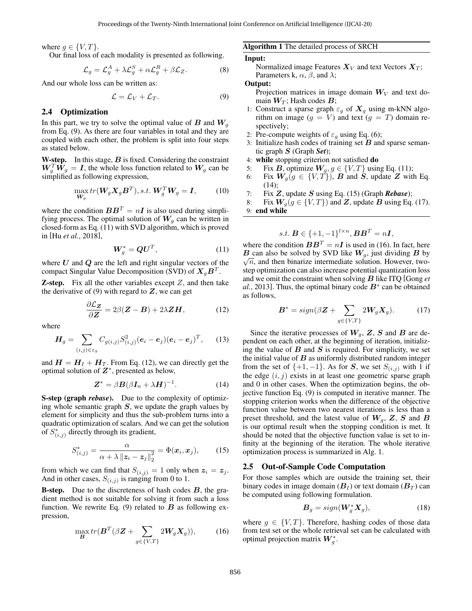where  $q \in \{V, T\}$ .

Our final loss of each modality is presented as following.

$$
\mathcal{L}_g = \mathcal{L}_g^A + \lambda \mathcal{L}_g^S + \alpha \mathcal{L}_g^R + \beta \mathcal{L}_Z.
$$
 (8)

And our whole loss can be written as:

$$
\mathcal{L} = \mathcal{L}_V + \mathcal{L}_T. \tag{9}
$$

#### 2.4 Optimization

In this part, we try to solve the optimal value of  $\bm{B}$  and  $\bm{W}_g$ from Eq. (9). As there are four variables in total and they are coupled with each other, the problem is split into four steps as stated below.

**W-step.** In this stage,  $B$  is fixed. Considering the constraint  $W_g^T \tilde{W}_g = I$ , the whole loss function related to  $W_g$  can be simplified as following expression,

$$
\max_{\mathbf{W}_g} tr(\mathbf{W}_g \mathbf{X}_g \mathbf{B}^T), s.t. \mathbf{W}_g^T \mathbf{W}_g = \mathbf{I},
$$
 (10)

where the condition  $\boldsymbol{B}\boldsymbol{B}^T = n\boldsymbol{I}$  is also used during simplifying process. The optimal solution of  $W_q$  can be written in closed-form as Eq. (11) with SVD algorithm, which is proved in [Hu *et al.*, 2018],

$$
\boldsymbol{W}_g^* = \boldsymbol{Q}\boldsymbol{U}^T,\tag{11}
$$

where  $U$  and  $Q$  are the left and right singular vectors of the compact Singular Value Decomposition (SVD) of  $X_gB^T$ .

**Z-step.** Fix all the other variables except  $Z$ , and then take the derivative of  $(9)$  with regard to  $Z$ , we can get

$$
\frac{\partial \mathcal{L}_Z}{\partial \mathbf{Z}} = 2\beta(\mathbf{Z} - \mathbf{B}) + 2\lambda \mathbf{Z}\mathbf{H},\tag{12}
$$

where

$$
\boldsymbol{H}_{g} = \sum_{(i,j) \in \varepsilon_{g}} C_{g(i,j)} S_{(i,j)}^{2} (\boldsymbol{e}_{i} - \boldsymbol{e}_{j}) (\boldsymbol{e}_{i} - \boldsymbol{e}_{j})^{T}, \qquad (13)
$$

and  $H = H<sub>I</sub> + H<sub>T</sub>$ . From Eq. (12), we can directly get the optimal solution of  $Z^*$ , presented as below,

$$
\mathbf{Z}^* = \beta \mathbf{B} (\beta \mathbf{I}_n + \lambda \mathbf{H})^{-1}.
$$
 (14)

S-step (graph *rebase*). Due to the complexity of optimizing whole semantic graph  $S$ , we update the graph values by element for simplicity and thus the sub-problem turns into a quadratic optimization of scalars. And we can get the solution of  $S^*_{(i,j)}$  directly through its gradient,

$$
S_{(i,j)}^* = \frac{\alpha}{\alpha + \lambda \| \boldsymbol{z}_i - \boldsymbol{z}_j \|_2^2} = \Phi(\boldsymbol{x}_i, \boldsymbol{x}_j), \qquad (15)
$$

from which we can find that  $S_{(i,j)} = 1$  only when  $z_i = z_j$ . And in other cases,  $S_{(i,j)}$  is ranging from 0 to 1.

**B-step.** Due to the discreteness of hash codes  $B$ , the gradient method is not suitable for solving it from such a loss function. We rewrite Eq. (9) related to  $\bf{B}$  as following expression,

$$
\max_{\mathbf{B}} tr(\mathbf{B}^T(\beta \mathbf{Z} + \sum_{g \in \{V,T\}} 2\mathbf{W}_g \mathbf{X}_g)),\tag{16}
$$

Algorithm 1 The detailed process of SRCH

#### Input:

Normalized image Features  $X_V$  and text Vectors  $X_T$ ; Parameters k,  $\alpha$ ,  $\beta$ , and  $\lambda$ ;

# Output:

Projection matrices in image domain  $W_V$  and text domain  $W_T$ ; Hash codes  $B$ ;

- 1: Construct a sparse graph  $\varepsilon_g$  of  $X_g$  using m-kNN algorithm on image  $(g = V)$  and text  $(g = T)$  domain respectively;
- 2: Pre-compute weights of  $\varepsilon_g$  using Eq. (6);
- 3: Initialize hash codes of training set  $B$  and sparse semantic graph S (Graph *Set*);
- 4: while stopping criterion not satisfied do
- 5: Fix B, optimize  $W_q$ ,  $q \in \{V, T\}$  using Eq. (11);
- 6: Fix  $W_g(g \in \{V, T\})$ , B and S, update Z with Eq. (14);
- 7: Fix Z, update S using Eq. (15) (Graph *Rebase*);
- 8: Fix  $W_g(g \in \{V, T\})$  and Z, update B using Eq. (17). 9: end while

$$
s.t. \mathbf{B} \in \{+1, -1\}^{l \times n}, \mathbf{B} \mathbf{B}^{T} = n\mathbf{I},
$$

where the condition  $BB<sup>T</sup> = nI$  is used in (16). In fact, here  $\overline{B}$  can also be solved by SVD like  $W_g$ , just dividing  $B$  by  $\sqrt{n}$ , and then binarize intermediate solution. However, twostep optimization can also increase potential quantization loss and we omit the constraint when solving B like ITQ [Gong *et*  $al., 2013$ . Thus, the optimal binary code  $B^*$  can be obtained as follows,

$$
\boldsymbol{B}^* = sign(\beta \boldsymbol{Z} + \sum_{g \in \{V, T\}} 2\boldsymbol{W}_g \boldsymbol{X}_g). \tag{17}
$$

Since the iterative processes of  $W_q$ ,  $Z$ ,  $S$  and  $B$  are dependent on each other, at the beginning of iteration, initializing the value of  $B$  and  $S$  is required. For simplicity, we set the initial value of  $B$  as uniformly distributed random integer from the set of  $\{+1, -1\}$ . As for S, we set  $S_{(i,j)}$  with 1 if the edge  $(i, j)$  exists in at least one geometric sparse graph and 0 in other cases. When the optimization begins, the objective function Eq. (9) is computed in iterative manner. The stopping criterion works when the difference of the objective function value between two nearest iterations is less than a preset threshold, and the latest value of  $W_g$ ,  $Z$ ,  $S$  and  $B$ is our optimal result when the stopping condition is met. It should be noted that the objective function value is set to infinity at the beginning of the iteration. The whole iterative optimization process is summarized in Alg. 1.

#### 2.5 Out-of-Sample Code Computation

For those samples which are outside the training set, their binary codes in image domain  $(B_I)$  or text domain  $(B_T)$  can be computed using following formulation.

$$
\boldsymbol{B}_g = sign(\boldsymbol{W}_g^* \boldsymbol{X}_g),\tag{18}
$$

where  $g \in \{V, T\}$ . Therefore, hashing codes of those data from test set or the whole retrieval set can be calculated with optimal projection matrix  $W_g^*$ .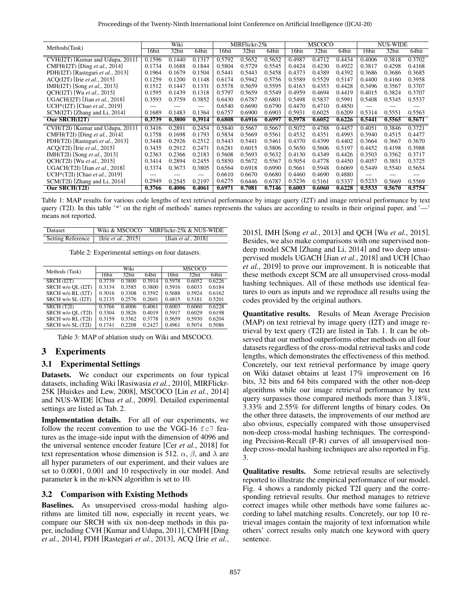| Methods(Task)                              | Wiki   |        |        | MIRFlickr-25k |        |        | <b>MSCOCO</b> |        |        | <b>NUS-WIDE</b> |        |        |
|--------------------------------------------|--------|--------|--------|---------------|--------|--------|---------------|--------|--------|-----------------|--------|--------|
|                                            | 16bit  | 32bit  | 64bit  | 16bit         | 32bit  | 64bit  | 16bit         | 32bit  | 64bit  | 16bit           | 32bit  | 64bit  |
| CVH(I2T) [Kumar and Udupa, 2011]           | 0.1596 | 0.1440 | 0.1317 | 0.5792        | 0.5652 | 0.5652 | 0.4987        | 0.4712 | 0.4434 | 0.4006          | 0.3818 | 0.3702 |
| CMFH(I2T) [Ding et al., 2014]              | 0.1734 | 0.1688 | 0.1844 | 0.5804        | 0.5729 | 0.5545 | 0.4424        | 0.4230 | 0.4922 | 0.3817          | 0.4298 | 0.4168 |
| PDH(I2T) [Rastegari et al., 2013]          | 0.1964 | 0.1679 | 0.1504 | 0.5441        | 0.5443 | 0.5458 | 0.4373        | 0.4389 | 0.4392 | 0.3686          | 0.3686 | 0.3685 |
| ACO(I2T) [Irie et al., 2015]               | 0.1259 | 0.1200 | 0.1148 | 0.6174        | 0.5942 | 0.5756 | 0.5589        | 0.5529 | 0.5147 | 0.4400          | 0.4160 | 0.3958 |
| IMH(I2T) [Song et al., 2013]               | 0.1512 | 0.1447 | 0.1331 | 0.5578        | 0.5659 | 0.5595 | 0.4163        | 0.4353 | 0.4428 | 0.3496          | 0.3567 | 0.3707 |
| OCH(I2T) [Wu et al., 2015]                 | 0.1595 | 0.1439 | 0.1318 | 0.5797        | 0.5659 | 0.5549 | 0.4959        | 0.4694 | 0.4419 | 0.4015          | 0.3824 | 0.3707 |
| UGACH(I2T) [Jian et al., 2018]             | 0.3593 | 0.3759 | 0.3852 | 0.6430        | 0.6787 | 0.6801 | 0.5498        | 0.5837 | 0.5991 | 0.5408          | 0.5345 | 0.5537 |
| UCH <sup>*</sup> (I2T) [Chao et al., 2019] |        |        |        | 0.6540        | 0.6690 | 0.6790 | 0.4470        | 0.4710 | 0.4850 |                 |        |        |
| $SCM(I2T)$ [Zhang and Li, 2014]            | 0.1689 | 0.1483 | 0.1364 | 0.6757        | 0.6900 | 0.6903 | 0.5931        | 0.6025 | 0.6209 | 0.5314          | 0.5551 | 0.5563 |
| Our SRCH(I2T)                              | 0.3739 | 0.3800 | 0.3914 | 0.6808        | 0.6916 | 0.6997 | 0.5978        | 0.6052 | 0.6226 | 0.5441          | 0.5565 | 0.5671 |
| CVH(T2I) [Kumar and Udupa, 2011]           | 0.3416 | 0.2891 | 0.2454 | 0.5840        | 0.5667 | 0.5667 | 0.5072        | 0.4788 | 0.4457 | 0.4051          | 0.3846 | 0.3721 |
| CMFH(T2I) [Ding et al., 2014]              | 0.1758 | 0.1698 | 0.1793 | 0.5834        | 0.5669 | 0.5561 | 0.4532        | 0.4351 | 0.4993 | 0.3940          | 0.4515 | 0.4477 |
| PDH(T2I) [Rastegari et al., 2013]          | 0.3448 | 0.2926 | 0.2512 | 0.5443        | 0.5441 | 0.5461 | 0.4370        | 0.4399 | 0.4402 | 0.3664          | 0.3667 | 0.3670 |
| $ACO(T2I)$ [Irie <i>et al.</i> , 2015]     | 0.3435 | 0.2912 | 0.2471 | 0.6281        | 0.6015 | 0.5806 | 0.5650        | 0.5606 | 0.5197 | 0.4452          | 0.4198 | 0.3988 |
| IMH(T2I) [Song et al., 2013]               | 0.2363 | 0.2366 | 0.2183 | 0.5608        | 0.5693 | 0.5632 | 0.4130        | 0.4349 | 0.4426 | 0.3503          | 0.3562 | 0.3717 |
| OCH(T2I) [Wu et al., 2015]                 | 0.3414 | 0.2894 | 0.2455 | 0.5850        | 0.5672 | 0.5567 | 0.5054        | 0.4778 | 0.4450 | 0.4057          | 0.3851 | 0.3725 |
| UGACH(T2I) [Jian et al., 2018]             | 0.3374 | 0.3673 | 0.3805 | 0.6564        | 0.6918 | 0.6990 | 0.5661        | 0.5948 | 0.6069 | 0.5449          | 0.5540 | 0.5654 |
| UCH*(T2I) [Chao et al., 2019]              |        |        |        | 0.6610        | 0.6670 | 0.6680 | 0.4460        | 0.4690 | 0.4880 |                 |        |        |
| SCM(T2I) [Zhang and Li, 2014]              | 0.2949 | 0.2545 | 0.2197 | 0.6275        | 0.6446 | 0.6787 | 0.5236        | 0.5161 | 0.5337 | 0.5233          | 0.5669 | 0.5569 |
| Our SRCH(T2I)                              | 0.3766 | 0.4006 | 0.4061 | 0.6971        | 0.7081 | 0.7146 | 0.6003        | 0.6060 | 0.6228 | 0.5533          | 0.5670 | 0.5754 |

Table 1: MAP results for various code lengths of text retrieval performance by image query (I2T) and image retrieval performance by text query (T2I). In this table '\*' on the right of methods' names represents the values are according to results in their original paper, and '—' means not reported.

| Dataset |                                       | Wiki & MSCOCO MIRFlickr-25k & NUS-WIDE |
|---------|---------------------------------------|----------------------------------------|
|         | Setting Reference [Irie et al., 2015] | [Jian <i>et al.</i> , 2018]            |

Table 2: Experimental settings on four datasets.

| Methods (Task)    |        | Wiki              |        | <b>MSCOCO</b>     |        |        |  |
|-------------------|--------|-------------------|--------|-------------------|--------|--------|--|
|                   | 16bit  | 32 <sub>bit</sub> | 64bit  | 16 <sub>bit</sub> | 32bit  | 64bit  |  |
| SRCH (I2T)        | 0.3739 | 0.3800            | 0.3914 | 0.5978            | 0.6052 | 0.6226 |  |
| SRCH w/o QL (I2T) | 0.3134 | 0.3585            | 0.3800 | 0.5916            | 0.6033 | 0.6184 |  |
| SRCH w/o RL (I2T) | 0.3016 | 0.3308            | 0.3592 | 0.5688            | 0.5924 | 0.6162 |  |
| SRCH w/o SL (I2T) | 0.2135 | 0.2576            | 0.2601 | 0.4815            | 0.5181 | 0.5201 |  |
| SRCH (T2I)        | 0.3766 | 0.4006            | 0.4061 | 0.6003            | 0.6060 | 0.6228 |  |
| SRCH w/o QL (T2I) | 0.3304 | 0.3826            | 0.4019 | 0.5917            | 0.6029 | 0.6198 |  |
| SRCH w/o RL (T2I) | 0.3159 | 0.3362            | 0.3778 | 0.5659            | 0.5930 | 0.6204 |  |
| SRCH w/o SL (T2I) | 0.1741 | 0.2208            | 0.2427 | 0.4961            | 0.5074 | 0.5086 |  |

Table 3: MAP of ablation study on Wiki and MSCOCO.

### 3 Experiments

#### 3.1 Experimental Settings

Datasets. We conduct our experiments on four typical datasets, including Wiki [Rasiwasia *et al.*, 2010], MIRFlickr-25K [Huiskes and Lew, 2008], MSCOCO [Lin *et al.*, 2014] and NUS-WIDE [Chua *et al.*, 2009]. Detailed experimental settings are listed as Tab. 2.

Implementation details. For all of our experiments, we follow the recent convention to use the VGG-16  $fc7$  features as the image-side input with the dimension of 4096 and the universal sentence encoder feature [Cer *et al.*, 2018] for text representation whose dimension is 512.  $\alpha$ ,  $\beta$ , and  $\lambda$  are all hyper parameters of our experiment, and their values are set to 0.0001, 0.001 and 10 respectively in our model. And parameter k in the m-kNN algorithm is set to 10.

### 3.2 Comparison with Existing Methods

Baselines. As unsupervised cross-modal hashing algorithms are limited till now, especially in recent years, we compare our SRCH with six non-deep methods in this paper, including CVH [Kumar and Udupa, 2011], CMFH [Ding *et al.*, 2014], PDH [Rastegari *et al.*, 2013], ACQ [Irie *et al.*, 2015], IMH [Song *et al.*, 2013] and QCH [Wu *et al.*, 2015]. Besides, we also make comparisons with one supervised nondeep model SCM [Zhang and Li, 2014] and two deep unsupervised models UGACH [Jian *et al.*, 2018] and UCH [Chao *et al.*, 2019] to prove our improvement. It is noticeable that these methods except SCM are all unsupervised cross-modal hashing techniques. All of these methods use identical features to ours as inputs and we reproduce all results using the codes provided by the original authors.

Quantitative results. Results of Mean Average Precision (MAP) on text retrieval by image query (I2T) and image retrieval by text query (T2I) are listed in Tab. 1. It can be observed that our method outperforms other methods on all four datasets regardless of the cross-modal retrieval tasks and code lengths, which demonstrates the effectiveness of this method. Concretely, our text retrieval performance by image query on Wiki dataset obtains at least 17% improvement on 16 bits, 32 bits and 64 bits compared with the other non-deep algorithms while our image retrieval performance by text query surpasses those compared methods more than 3.18%, 3.33% and 2.55% for different lengths of binary codes. On the other three datasets, the improvements of our method are also obvious, especially compared with those unsupervised non-deep cross-modal hashing techniques. The corresponding Precision-Recall (P-R) curves of all unsupervised nondeep cross-modal hashing techniques are also reported in Fig. 3.

Qualitative results. Some retrieval results are selectively reported to illustrate the empirical performance of our model. Fig. 4 shows a randomly picked T2I query and the corresponding retrieval results. Our method manages to retrieve correct images while other methods have some failures according to label matching results. Concretely, our top 10 retrieval images contain the majority of text information while others' correct results only match one keyword with query sentence.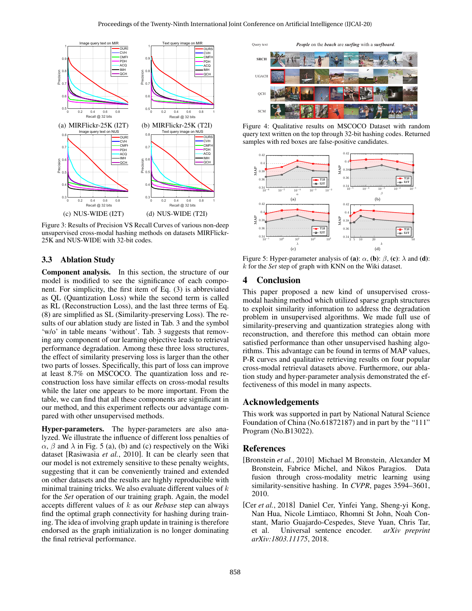

Figure 3: Results of Precision VS Recall Curves of various non-deep unsupervised cross-modal hashing methods on datasets MIRFlickr-25K and NUS-WIDE with 32-bit codes.

### 3.3 Ablation Study

Component analysis. In this section, the structure of our model is modified to see the significance of each component. For simplicity, the first item of Eq. (3) is abbreviated as QL (Quantization Loss) while the second term is called as RL (Reconstruction Loss), and the last three terms of Eq. (8) are simplified as SL (Similarity-preserving Loss). The results of our ablation study are listed in Tab. 3 and the symbol 'w/o' in table means 'without'. Tab. 3 suggests that removing any component of our learning objective leads to retrieval performance degradation. Among these three loss structures, the effect of similarity preserving loss is larger than the other two parts of losses. Specifically, this part of loss can improve at least 8.7% on MSCOCO. The quantization loss and reconstruction loss have similar effects on cross-modal results while the later one appears to be more important. From the table, we can find that all these components are significant in our method, and this experiment reflects our advantage compared with other unsupervised methods.

Hyper-parameters. The hyper-parameters are also analyzed. We illustrate the influence of different loss penalties of  $\alpha$ ,  $\beta$  and  $\lambda$  in Fig. 5 (a), (b) and (c) respectively on the Wiki dataset [Rasiwasia *et al.*, 2010]. It can be clearly seen that our model is not extremely sensitive to these penalty weights, suggesting that it can be conveniently trained and extended on other datasets and the results are highly reproducible with minimal training tricks. We also evaluate different values of  $k$ for the *Set* operation of our training graph. Again, the model accepts different values of k as our *Rebase* step can always find the optimal graph connectivity for hashing during training. The idea of involving graph update in training is therefore endorsed as the graph initialization is no longer dominating the final retrieval performance.

Query text *People* on the *beach* are *surfing* with a *surfboard*.



Figure 4: Qualitative results on MSCOCO Dataset with random query text written on the top through 32-bit hashing codes. Returned samples with red boxes are false-positive candidates.



Figure 5: Hyper-parameter analysis of (a):  $\alpha$ , (b):  $\beta$ , (c):  $\lambda$  and (d): k for the *Set* step of graph with KNN on the Wiki dataset.

### 4 Conclusion

This paper proposed a new kind of unsupervised crossmodal hashing method which utilized sparse graph structures to exploit similarity information to address the degradation problem in unsupervised algorithms. We made full use of similarity-preserving and quantization strategies along with reconstruction, and therefore this method can obtain more satisfied performance than other unsupervised hashing algorithms. This advantage can be found in terms of MAP values, P-R curves and qualitative retrieving results on four popular cross-modal retrieval datasets above. Furthermore, our ablation study and hyper-parameter analysis demonstrated the effectiveness of this model in many aspects.

#### Acknowledgements

This work was supported in part by National Natural Science Foundation of China (No.61872187) and in part by the "111" Program (No.B13022).

#### References

- [Bronstein *et al.*, 2010] Michael M Bronstein, Alexander M Bronstein, Fabrice Michel, and Nikos Paragios. Data fusion through cross-modality metric learning using similarity-sensitive hashing. In *CVPR*, pages 3594–3601, 2010.
- [Cer *et al.*, 2018] Daniel Cer, Yinfei Yang, Sheng-yi Kong, Nan Hua, Nicole Limtiaco, Rhomni St John, Noah Constant, Mario Guajardo-Cespedes, Steve Yuan, Chris Tar, et al. Universal sentence encoder. *arXiv preprint arXiv:1803.11175*, 2018.